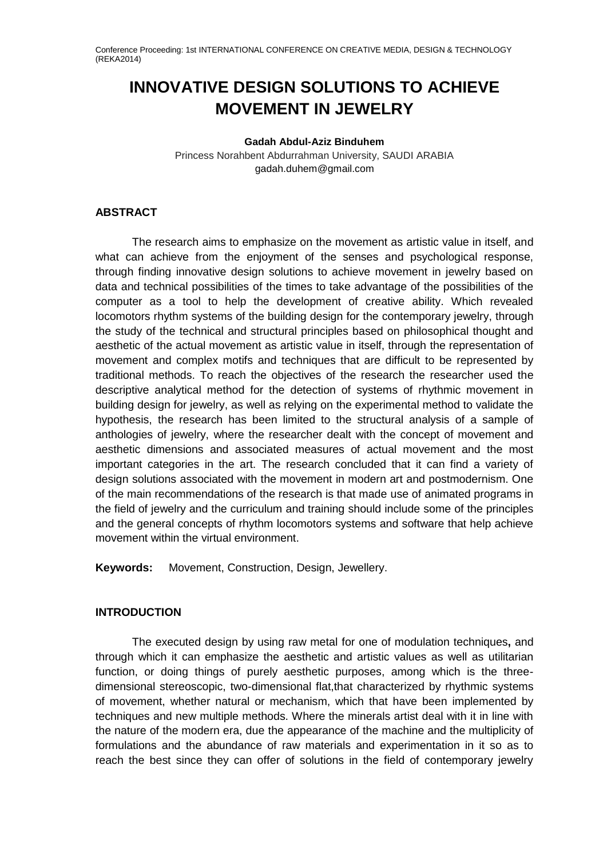# **INNOVATIVE DESIGN SOLUTIONS TO ACHIEVE MOVEMENT IN JEWELRY**

**Gadah Abdul-Aziz Binduhem** Princess Norahbent Abdurrahman University, SAUDI ARABIA gadah.duhem@gmail.com

# **ABSTRACT**

The research aims to emphasize on the movement as artistic value in itself, and what can achieve from the enjoyment of the senses and psychological response, through finding innovative design solutions to achieve movement in jewelry based on data and technical possibilities of the times to take advantage of the possibilities of the computer as a tool to help the development of creative ability. Which revealed locomotors rhythm systems of the building design for the contemporary jewelry, through the study of the technical and structural principles based on philosophical thought and aesthetic of the actual movement as artistic value in itself, through the representation of movement and complex motifs and techniques that are difficult to be represented by traditional methods. To reach the objectives of the research the researcher used the descriptive analytical method for the detection of systems of rhythmic movement in building design for jewelry, as well as relying on the experimental method to validate the hypothesis, the research has been limited to the structural analysis of a sample of anthologies of jewelry, where the researcher dealt with the concept of movement and aesthetic dimensions and associated measures of actual movement and the most important categories in the art. The research concluded that it can find a variety of design solutions associated with the movement in modern art and postmodernism. One of the main recommendations of the research is that made use of animated programs in the field of jewelry and the curriculum and training should include some of the principles and the general concepts of rhythm locomotors systems and software that help achieve movement within the virtual environment.

**Keywords:** Movement, Construction, Design, Jewellery.

# **INTRODUCTION**

The executed design by using raw metal for one of modulation techniques**,** and through which it can emphasize the aesthetic and artistic values as well as utilitarian function, or doing things of purely aesthetic purposes, among which is the threedimensional stereoscopic, two-dimensional flat,that characterized by rhythmic systems of movement, whether natural or mechanism, which that have been implemented by techniques and new multiple methods. Where the minerals artist deal with it in line with the nature of the modern era, due the appearance of the machine and the multiplicity of formulations and the abundance of raw materials and experimentation in it so as to reach the best since they can offer of solutions in the field of contemporary jewelry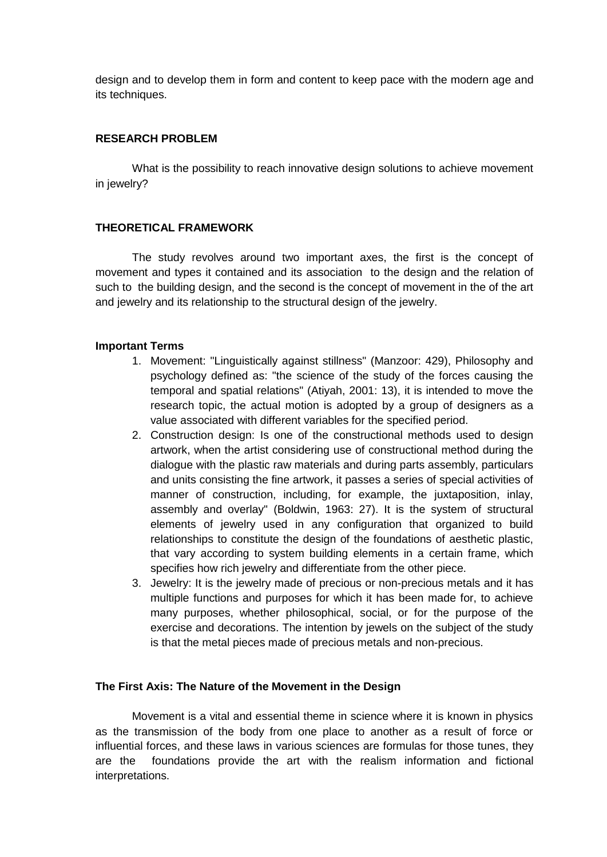design and to develop them in form and content to keep pace with the modern age and its techniques.

# **RESEARCH PROBLEM**

What is the possibility to reach innovative design solutions to achieve movement in jewelry?

# **THEORETICAL FRAMEWORK**

The study revolves around two important axes, the first is the concept of movement and types it contained and its association to the design and the relation of such to the building design, and the second is the concept of movement in the of the art and jewelry and its relationship to the structural design of the jewelry.

# **Important Terms**

- 1. Movement: "Linguistically against stillness" (Manzoor: 429), Philosophy and psychology defined as: "the science of the study of the forces causing the temporal and spatial relations" (Atiyah, 2001: 13), it is intended to move the research topic, the actual motion is adopted by a group of designers as a value associated with different variables for the specified period.
- 2. Construction design: Is one of the constructional methods used to design artwork, when the artist considering use of constructional method during the dialogue with the plastic raw materials and during parts assembly, particulars and units consisting the fine artwork, it passes a series of special activities of manner of construction, including, for example, the juxtaposition, inlay, assembly and overlay" (Boldwin, 1963: 27). It is the system of structural elements of jewelry used in any configuration that organized to build relationships to constitute the design of the foundations of aesthetic plastic, that vary according to system building elements in a certain frame, which specifies how rich jewelry and differentiate from the other piece.
- 3. Jewelry: It is the jewelry made of precious or non-precious metals and it has multiple functions and purposes for which it has been made for, to achieve many purposes, whether philosophical, social, or for the purpose of the exercise and decorations. The intention by jewels on the subject of the study is that the metal pieces made of precious metals and non-precious.

# **The First Axis: The Nature of the Movement in the Design**

Movement is a vital and essential theme in science where it is known in physics as the transmission of the body from one place to another as a result of force or influential forces, and these laws in various sciences are formulas for those tunes, they are the foundations provide the art with the realism information and fictional interpretations.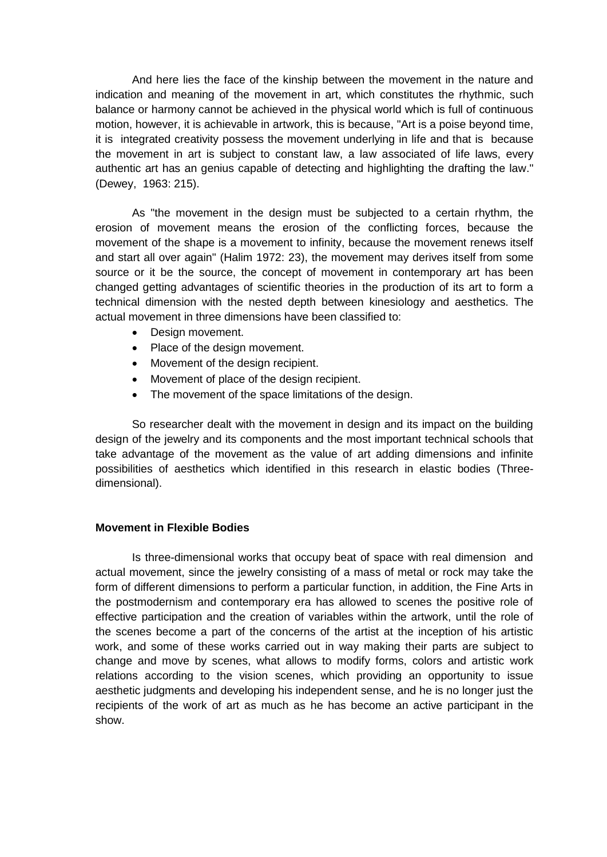And here lies the face of the kinship between the movement in the nature and indication and meaning of the movement in art, which constitutes the rhythmic, such balance or harmony cannot be achieved in the physical world which is full of continuous motion, however, it is achievable in artwork, this is because, "Art is a poise beyond time, it is integrated creativity possess the movement underlying in life and that is because the movement in art is subject to constant law, a law associated of life laws, every authentic art has an genius capable of detecting and highlighting the drafting the law." (Dewey, 1963: 215).

As "the movement in the design must be subjected to a certain rhythm, the erosion of movement means the erosion of the conflicting forces, because the movement of the shape is a movement to infinity, because the movement renews itself and start all over again" (Halim 1972: 23), the movement may derives itself from some source or it be the source, the concept of movement in contemporary art has been changed getting advantages of scientific theories in the production of its art to form a technical dimension with the nested depth between kinesiology and aesthetics. The actual movement in three dimensions have been classified to:

- Design movement.
- Place of the design movement.
- Movement of the design recipient.
- Movement of place of the design recipient.
- The movement of the space limitations of the design.

So researcher dealt with the movement in design and its impact on the building design of the jewelry and its components and the most important technical schools that take advantage of the movement as the value of art adding dimensions and infinite possibilities of aesthetics which identified in this research in elastic bodies (Threedimensional).

#### **Movement in Flexible Bodies**

Is three-dimensional works that occupy beat of space with real dimension and actual movement, since the jewelry consisting of a mass of metal or rock may take the form of different dimensions to perform a particular function, in addition, the Fine Arts in the postmodernism and contemporary era has allowed to scenes the positive role of effective participation and the creation of variables within the artwork, until the role of the scenes become a part of the concerns of the artist at the inception of his artistic work, and some of these works carried out in way making their parts are subject to change and move by scenes, what allows to modify forms, colors and artistic work relations according to the vision scenes, which providing an opportunity to issue aesthetic judgments and developing his independent sense, and he is no longer just the recipients of the work of art as much as he has become an active participant in the show.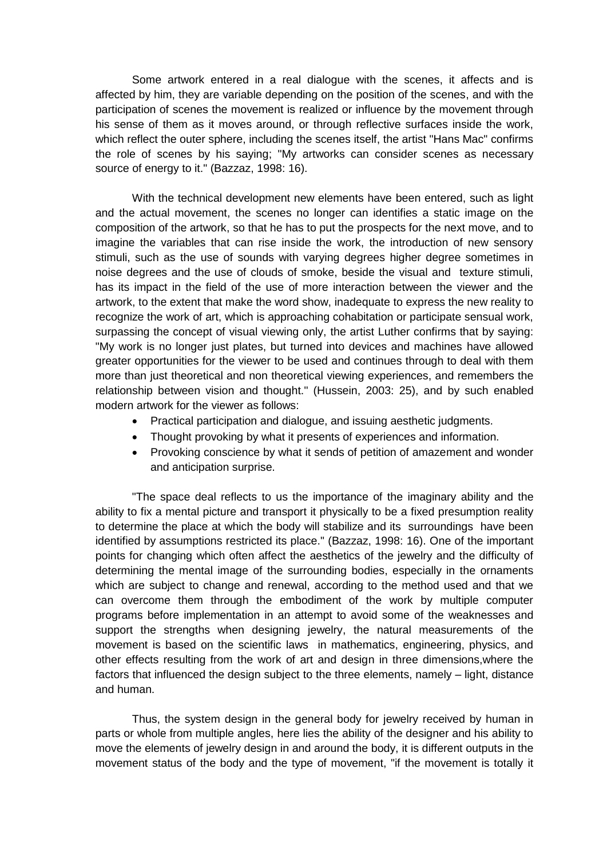Some artwork entered in a real dialogue with the scenes, it affects and is affected by him, they are variable depending on the position of the scenes, and with the participation of scenes the movement is realized or influence by the movement through his sense of them as it moves around, or through reflective surfaces inside the work, which reflect the outer sphere, including the scenes itself, the artist "Hans Mac" confirms the role of scenes by his saying; "My artworks can consider scenes as necessary source of energy to it." (Bazzaz, 1998: 16).

With the technical development new elements have been entered, such as light and the actual movement, the scenes no longer can identifies a static image on the composition of the artwork, so that he has to put the prospects for the next move, and to imagine the variables that can rise inside the work, the introduction of new sensory stimuli, such as the use of sounds with varying degrees higher degree sometimes in noise degrees and the use of clouds of smoke, beside the visual and texture stimuli, has its impact in the field of the use of more interaction between the viewer and the artwork, to the extent that make the word show, inadequate to express the new reality to recognize the work of art, which is approaching cohabitation or participate sensual work, surpassing the concept of visual viewing only, the artist Luther confirms that by saying: "My work is no longer just plates, but turned into devices and machines have allowed greater opportunities for the viewer to be used and continues through to deal with them more than just theoretical and non theoretical viewing experiences, and remembers the relationship between vision and thought." (Hussein, 2003: 25), and by such enabled modern artwork for the viewer as follows:

- Practical participation and dialogue, and issuing aesthetic judgments.
- Thought provoking by what it presents of experiences and information.
- Provoking conscience by what it sends of petition of amazement and wonder and anticipation surprise.

"The space deal reflects to us the importance of the imaginary ability and the ability to fix a mental picture and transport it physically to be a fixed presumption reality to determine the place at which the body will stabilize and its surroundings have been identified by assumptions restricted its place." (Bazzaz, 1998: 16). One of the important points for changing which often affect the aesthetics of the jewelry and the difficulty of determining the mental image of the surrounding bodies, especially in the ornaments which are subject to change and renewal, according to the method used and that we can overcome them through the embodiment of the work by multiple computer programs before implementation in an attempt to avoid some of the weaknesses and support the strengths when designing jewelry, the natural measurements of the movement is based on the scientific laws in mathematics, engineering, physics, and other effects resulting from the work of art and design in three dimensions,where the factors that influenced the design subject to the three elements, namely – light, distance and human.

Thus, the system design in the general body for jewelry received by human in parts or whole from multiple angles, here lies the ability of the designer and his ability to move the elements of jewelry design in and around the body, it is different outputs in the movement status of the body and the type of movement, "if the movement is totally it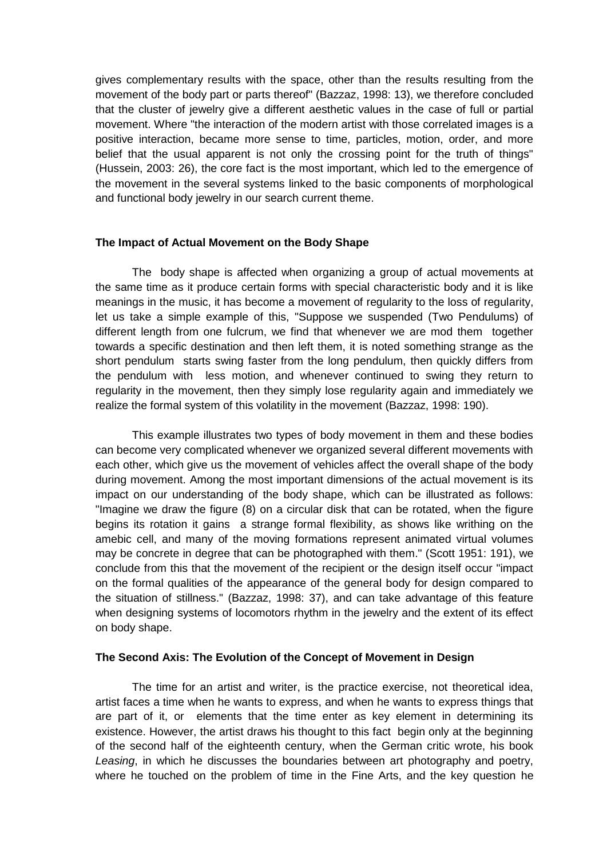gives complementary results with the space, other than the results resulting from the movement of the body part or parts thereof" (Bazzaz, 1998: 13), we therefore concluded that the cluster of jewelry give a different aesthetic values in the case of full or partial movement. Where "the interaction of the modern artist with those correlated images is a positive interaction, became more sense to time, particles, motion, order, and more belief that the usual apparent is not only the crossing point for the truth of things" (Hussein, 2003: 26), the core fact is the most important, which led to the emergence of the movement in the several systems linked to the basic components of morphological and functional body jewelry in our search current theme.

### **The Impact of Actual Movement on the Body Shape**

The body shape is affected when organizing a group of actual movements at the same time as it produce certain forms with special characteristic body and it is like meanings in the music, it has become a movement of regularity to the loss of regularity, let us take a simple example of this, "Suppose we suspended (Two Pendulums) of different length from one fulcrum, we find that whenever we are mod them together towards a specific destination and then left them, it is noted something strange as the short pendulum starts swing faster from the long pendulum, then quickly differs from the pendulum with less motion, and whenever continued to swing they return to regularity in the movement, then they simply lose regularity again and immediately we realize the formal system of this volatility in the movement (Bazzaz, 1998: 190).

This example illustrates two types of body movement in them and these bodies can become very complicated whenever we organized several different movements with each other, which give us the movement of vehicles affect the overall shape of the body during movement. Among the most important dimensions of the actual movement is its impact on our understanding of the body shape, which can be illustrated as follows: "Imagine we draw the figure (8) on a circular disk that can be rotated, when the figure begins its rotation it gains a strange formal flexibility, as shows like writhing on the amebic cell, and many of the moving formations represent animated virtual volumes may be concrete in degree that can be photographed with them." (Scott 1951: 191), we conclude from this that the movement of the recipient or the design itself occur "impact on the formal qualities of the appearance of the general body for design compared to the situation of stillness." (Bazzaz, 1998: 37), and can take advantage of this feature when designing systems of locomotors rhythm in the jewelry and the extent of its effect on body shape.

#### **The Second Axis: The Evolution of the Concept of Movement in Design**

The time for an artist and writer, is the practice exercise, not theoretical idea, artist faces a time when he wants to express, and when he wants to express things that are part of it, or elements that the time enter as key element in determining its existence. However, the artist draws his thought to this fact begin only at the beginning of the second half of the eighteenth century, when the German critic wrote, his book *Leasing*, in which he discusses the boundaries between art photography and poetry, where he touched on the problem of time in the Fine Arts, and the key question he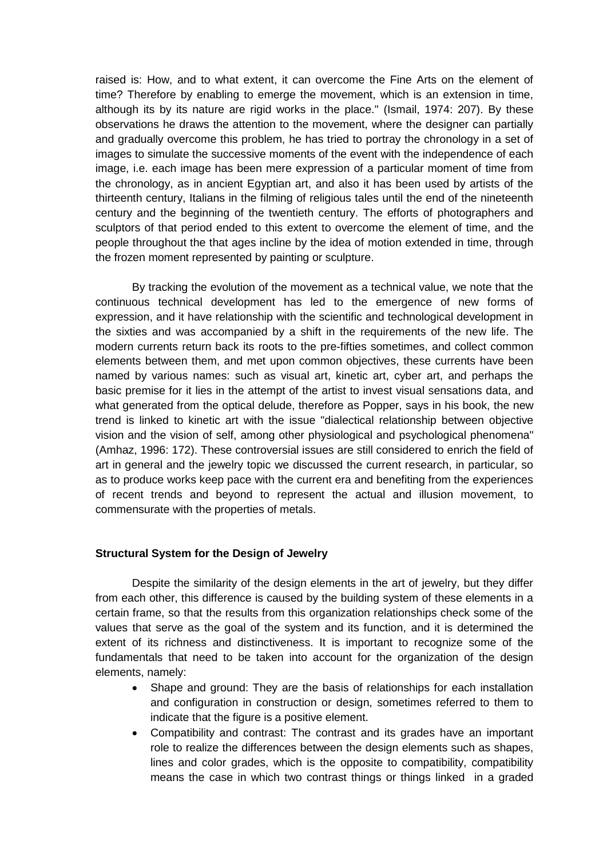raised is: How, and to what extent, it can overcome the Fine Arts on the element of time? Therefore by enabling to emerge the movement, which is an extension in time, although its by its nature are rigid works in the place." (Ismail, 1974: 207). By these observations he draws the attention to the movement, where the designer can partially and gradually overcome this problem, he has tried to portray the chronology in a set of images to simulate the successive moments of the event with the independence of each image, i.e. each image has been mere expression of a particular moment of time from the chronology, as in ancient Egyptian art, and also it has been used by artists of the thirteenth century, Italians in the filming of religious tales until the end of the nineteenth century and the beginning of the twentieth century. The efforts of photographers and sculptors of that period ended to this extent to overcome the element of time, and the people throughout the that ages incline by the idea of motion extended in time, through the frozen moment represented by painting or sculpture.

By tracking the evolution of the movement as a technical value, we note that the continuous technical development has led to the emergence of new forms of expression, and it have relationship with the scientific and technological development in the sixties and was accompanied by a shift in the requirements of the new life. The modern currents return back its roots to the pre-fifties sometimes, and collect common elements between them, and met upon common objectives, these currents have been named by various names: such as visual art, kinetic art, cyber art, and perhaps the basic premise for it lies in the attempt of the artist to invest visual sensations data, and what generated from the optical delude, therefore as Popper, says in his book, the new trend is linked to kinetic art with the issue "dialectical relationship between objective vision and the vision of self, among other physiological and psychological phenomena" (Amhaz, 1996: 172). These controversial issues are still considered to enrich the field of art in general and the jewelry topic we discussed the current research, in particular, so as to produce works keep pace with the current era and benefiting from the experiences of recent trends and beyond to represent the actual and illusion movement, to commensurate with the properties of metals.

#### **Structural System for the Design of Jewelry**

Despite the similarity of the design elements in the art of jewelry, but they differ from each other, this difference is caused by the building system of these elements in a certain frame, so that the results from this organization relationships check some of the values that serve as the goal of the system and its function, and it is determined the extent of its richness and distinctiveness. It is important to recognize some of the fundamentals that need to be taken into account for the organization of the design elements, namely:

- Shape and ground: They are the basis of relationships for each installation and configuration in construction or design, sometimes referred to them to indicate that the figure is a positive element.
- Compatibility and contrast: The contrast and its grades have an important role to realize the differences between the design elements such as shapes, lines and color grades, which is the opposite to compatibility, compatibility means the case in which two contrast things or things linked in a graded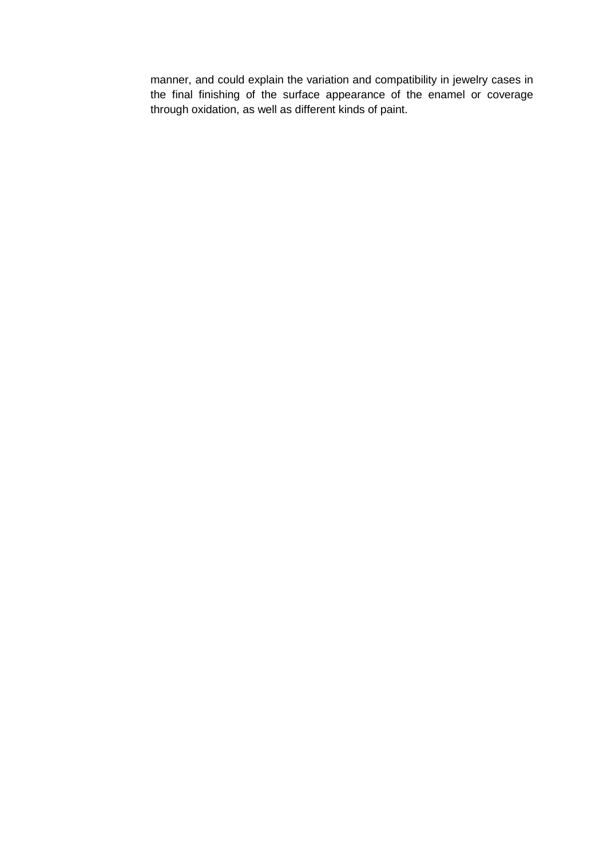manner, and could explain the variation and compatibility in jewelry cases in the final finishing of the surface appearance of the enamel or coverage through oxidation, as well as different kinds of paint.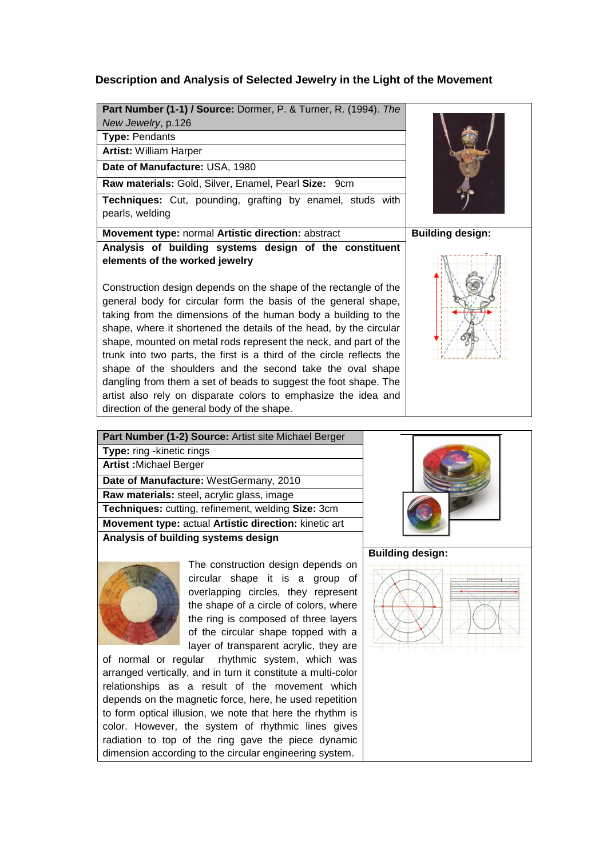# **Description and Analysis of Selected Jewelry in the Light of the Movement**

|                               | Part Number (1-1) / Source: Dormer, P. & Turner, R. (1994). The |  |
|-------------------------------|-----------------------------------------------------------------|--|
| New Jewelry, p.126            |                                                                 |  |
| <b>Type: Pendants</b>         |                                                                 |  |
| <b>Artist: William Harper</b> |                                                                 |  |
|                               | Date of Manufacture: USA, 1980                                  |  |

**Raw materials:** Gold, Silver, Enamel, Pearl **Size:** 9cm

**Techniques:** Cut, pounding, grafting by enamel, studs with pearls, welding

**Movement type:** normal Artistic direction: abstract **Building design:** 

**Analysis of building systems design of the constituent elements of the worked jewelry**

Construction design depends on the shape of the rectangle of the general body for circular form the basis of the general shape, taking from the dimensions of the human body a building to the shape, where it shortened the details of the head, by the circular shape, mounted on metal rods represent the neck, and part of the trunk into two parts, the first is a third of the circle reflects the shape of the shoulders and the second take the oval shape dangling from them a set of beads to suggest the foot shape. The artist also rely on disparate colors to emphasize the idea and direction of the general body of the shape.





| Part Number (1-2) Source: Artist site Michael Berger  |
|-------------------------------------------------------|
| <b>Type:</b> ring -kinetic rings                      |
| <b>Artist: Michael Berger</b>                         |
| Date of Manufacture: WestGermany, 2010                |
| Raw materials: steel, acrylic glass, image            |
| Techniques: cutting, refinement, welding Size: 3cm    |
| Movement type: actual Artistic direction: kinetic art |
| Analysis of building systems design                   |
|                                                       |



The construction design depends on circular shape it is a group of overlapping circles, they represent the shape of a circle of colors, where the ring is composed of three layers of the circular shape topped with a layer of transparent acrylic, they are

of normal or regular rhythmic system, which was arranged vertically, and in turn it constitute a multi-color relationships as a result of the movement which depends on the magnetic force, here, he used repetition to form optical illusion, we note that here the rhythm is color. However, the system of rhythmic lines gives radiation to top of the ring gave the piece dynamic dimension according to the circular engineering system.



**Building design:**

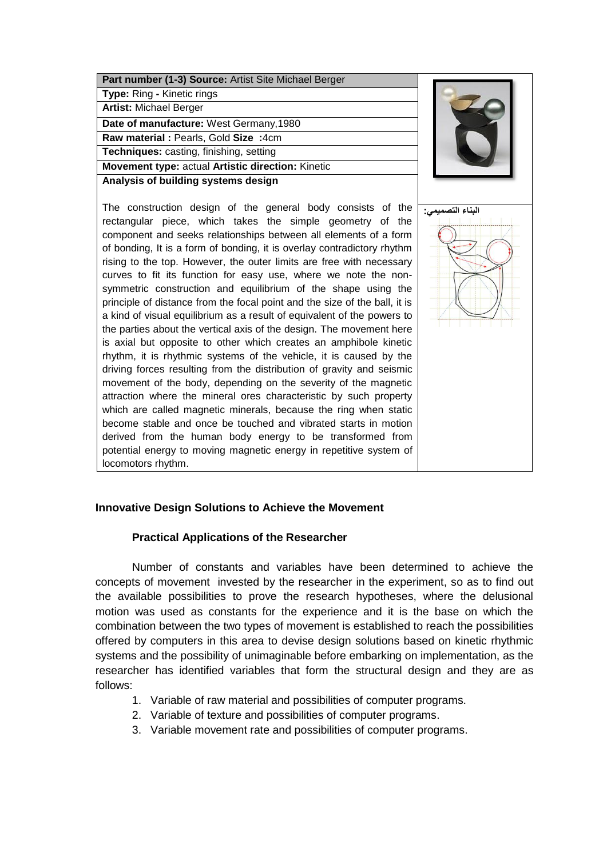| Part number (1-3) Source: Artist Site Michael Berger |
|------------------------------------------------------|
| <b>Type:</b> Ring - Kinetic rings                    |
| <b>Artist: Michael Berger</b>                        |
| Date of manufacture: West Germany, 1980              |
| Raw material : Pearls, Gold Size :4cm                |
| Techniques: casting, finishing, setting              |
| Movement type: actual Artistic direction: Kinetic    |
| Analysis of building systems design                  |

The construction design of the general body consists of the rectangular piece, which takes the simple geometry of the component and seeks relationships between all elements of a form of bonding, It is a form of bonding, it is overlay contradictory rhythm rising to the top. However, the outer limits are free with necessary curves to fit its function for easy use, where we note the nonsymmetric construction and equilibrium of the shape using the principle of distance from the focal point and the size of the ball, it is a kind of visual equilibrium as a result of equivalent of the powers to the parties about the vertical axis of the design. The movement here is axial but opposite to other which creates an amphibole kinetic rhythm, it is rhythmic systems of the vehicle, it is caused by the driving forces resulting from the distribution of gravity and seismic movement of the body, depending on the severity of the magnetic attraction where the mineral ores characteristic by such property which are called magnetic minerals, because the ring when static become stable and once be touched and vibrated starts in motion derived from the human body energy to be transformed from potential energy to moving magnetic energy in repetitive system of locomotors rhythm.





# **Innovative Design Solutions to Achieve the Movement**

#### **Practical Applications of the Researcher**

Number of constants and variables have been determined to achieve the concepts of movement invested by the researcher in the experiment, so as to find out the available possibilities to prove the research hypotheses, where the delusional motion was used as constants for the experience and it is the base on which the combination between the two types of movement is established to reach the possibilities offered by computers in this area to devise design solutions based on kinetic rhythmic systems and the possibility of unimaginable before embarking on implementation, as the researcher has identified variables that form the structural design and they are as follows:

- 1. Variable of raw material and possibilities of computer programs.
- 2. Variable of texture and possibilities of computer programs.
- 3. Variable movement rate and possibilities of computer programs.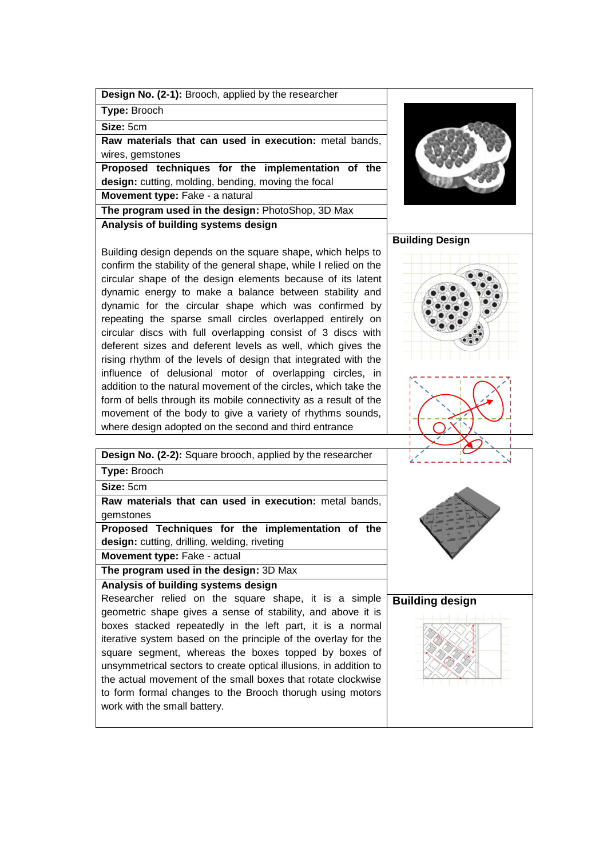|  |  | <b>Design No. (2-1):</b> Brooch, applied by the researcher |
|--|--|------------------------------------------------------------|
|--|--|------------------------------------------------------------|

**Type:** Brooch

**Size:** 5cm

**Raw materials that can used in execution:** metal bands, wires, gemstones

**Proposed techniques for the implementation of the design:** cutting, molding, bending, moving the focal **Movement type: Fake - a natural** 

**The program used in the design:** PhotoShop, 3D Max

**Analysis of building systems design**

Building design depends on the square shape, which helps to confirm the stability of the general shape, while I relied on the circular shape of the design elements because of its latent dynamic energy to make a balance between stability and dynamic for the circular shape which was confirmed by repeating the sparse small circles overlapped entirely on circular discs with full overlapping consist of 3 discs with deferent sizes and deferent levels as well, which gives the rising rhythm of the levels of design that integrated with the influence of delusional motor of overlapping circles, in addition to the natural movement of the circles, which take the form of bells through its mobile connectivity as a result of the movement of the body to give a variety of rhythms sounds, where design adopted on the second and third entrance

**Building Design** 





| Design No. (2-2): Square brooch, applied by the researcher        |                        |
|-------------------------------------------------------------------|------------------------|
| Type: Brooch                                                      |                        |
| Size: 5cm                                                         |                        |
| Raw materials that can used in execution: metal bands,            |                        |
| gemstones                                                         |                        |
| Proposed Techniques for the implementation of the                 |                        |
| design: cutting, drilling, welding, riveting                      |                        |
| Movement type: Fake - actual                                      |                        |
| The program used in the design: 3D Max                            |                        |
| Analysis of building systems design                               |                        |
| Researcher relied on the square shape, it is a simple             | <b>Building design</b> |
| geometric shape gives a sense of stability, and above it is       |                        |
| boxes stacked repeatedly in the left part, it is a normal         |                        |
| iterative system based on the principle of the overlay for the    |                        |
| square segment, whereas the boxes topped by boxes of              |                        |
| unsymmetrical sectors to create optical illusions, in addition to |                        |
| the actual movement of the small boxes that rotate clockwise      |                        |
|                                                                   |                        |

to form formal changes to the Brooch thorugh using motors work with the small battery.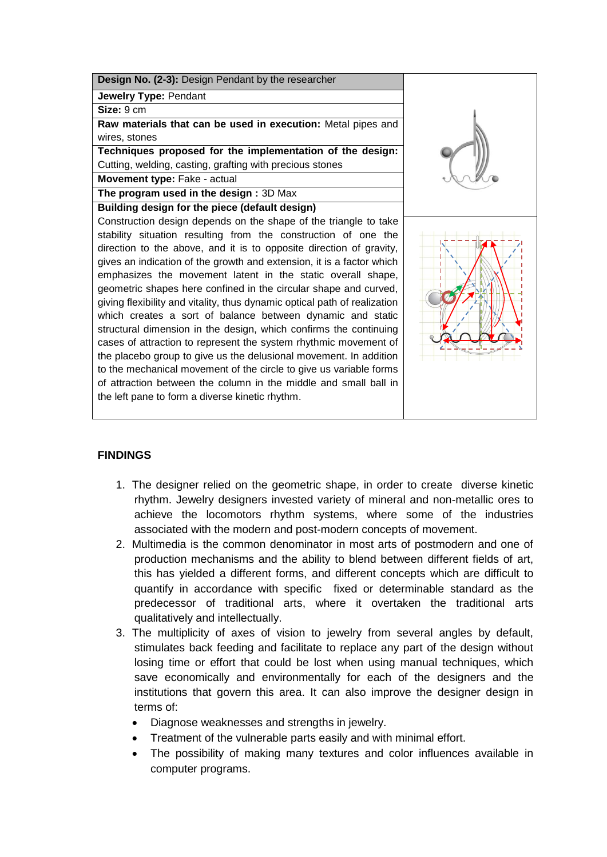

# **FINDINGS**

- 1. The designer relied on the geometric shape, in order to create diverse kinetic rhythm. Jewelry designers invested variety of mineral and non-metallic ores to achieve the locomotors rhythm systems, where some of the industries associated with the modern and post-modern concepts of movement.
- 2. Multimedia is the common denominator in most arts of postmodern and one of production mechanisms and the ability to blend between different fields of art, this has yielded a different forms, and different concepts which are difficult to quantify in accordance with specific fixed or determinable standard as the predecessor of traditional arts, where it overtaken the traditional arts qualitatively and intellectually.
- 3. The multiplicity of axes of vision to jewelry from several angles by default, stimulates back feeding and facilitate to replace any part of the design without losing time or effort that could be lost when using manual techniques, which save economically and environmentally for each of the designers and the institutions that govern this area. It can also improve the designer design in terms of:
	- Diagnose weaknesses and strengths in jewelry.
	- Treatment of the vulnerable parts easily and with minimal effort.
	- The possibility of making many textures and color influences available in computer programs.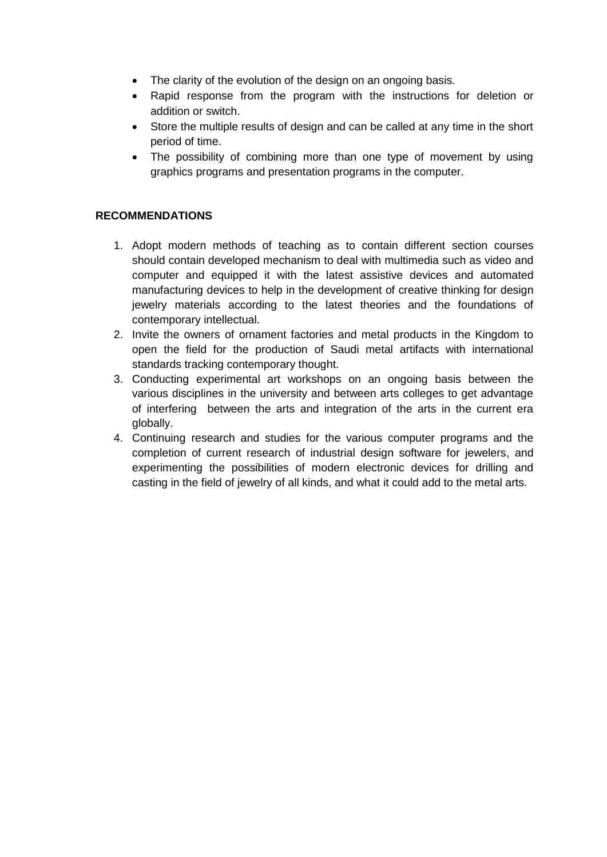- The clarity of the evolution of the design on an ongoing basis.
- Rapid response from the program with the instructions for deletion or addition or switch.
- Store the multiple results of design and can be called at any time in the short period of time.
- The possibility of combining more than one type of movement by using graphics programs and presentation programs in the computer.

# **RECOMMENDATIONS**

- 1. Adopt modern methods of teaching as to contain different section courses should contain developed mechanism to deal with multimedia such as video and computer and equipped it with the latest assistive devices and automated manufacturing devices to help in the development of creative thinking for design jewelry materials according to the latest theories and the foundations of contemporary intellectual.
- 2. Invite the owners of ornament factories and metal products in the Kingdom to open the field for the production of Saudi metal artifacts with international standards tracking contemporary thought.
- 3. Conducting experimental art workshops on an ongoing basis between the various disciplines in the university and between arts colleges to get advantage of interfering between the arts and integration of the arts in the current era globally.
- 4. Continuing research and studies for the various computer programs and the completion of current research of industrial design software for jewelers, and experimenting the possibilities of modern electronic devices for drilling and casting in the field of jewelry of all kinds, and what it could add to the metal arts.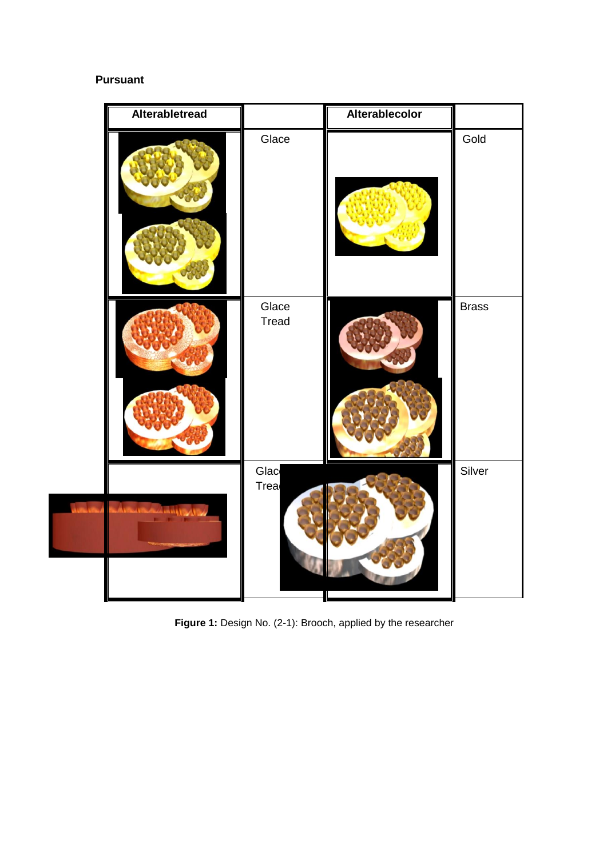# **Pursuant**

| Alterabletread           |                | Alterablecolor |              |
|--------------------------|----------------|----------------|--------------|
|                          | Glace          |                | Gold         |
|                          | Glace<br>Tread |                | <b>Brass</b> |
| Article Burkeley Hart 19 | Glac<br>Trea   |                | Silver       |

**Figure 1:** Design No. (2-1): Brooch, applied by the researcher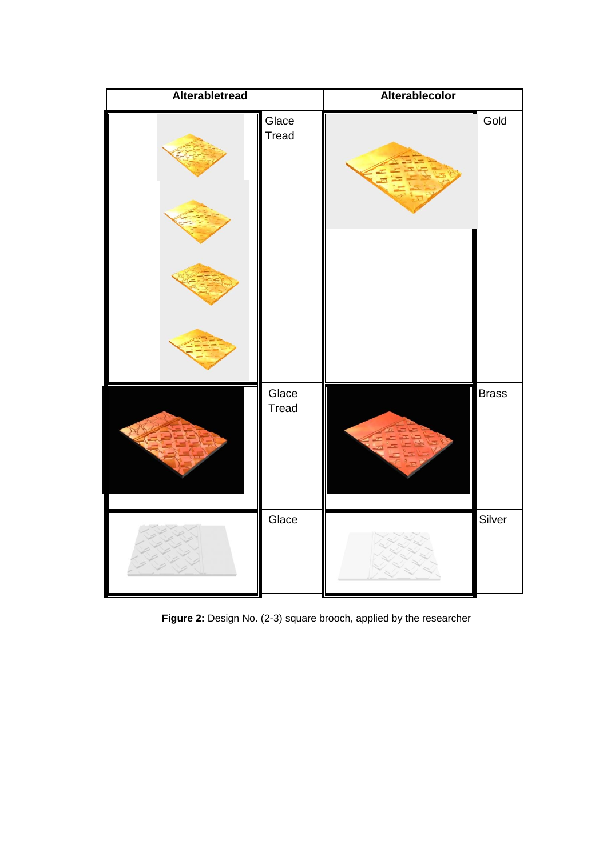| Alterabletread |                | Alterablecolor |              |
|----------------|----------------|----------------|--------------|
|                | Glace<br>Tread |                | Gold         |
|                | Glace<br>Tread |                | <b>Brass</b> |
|                | Glace          |                | Silver       |

**Figure 2:** Design No. (2-3) square brooch, applied by the researcher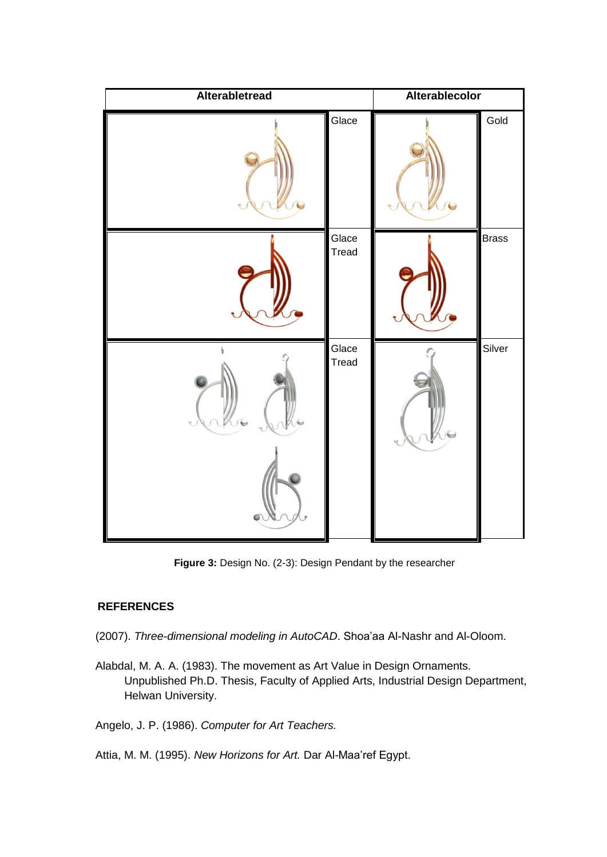

**Figure 3:** Design No. (2-3): Design Pendant by the researcher

# **REFERENCES**

(2007). *Three-dimensional modeling in AutoCAD*. Shoa'aa Al-Nashr and Al-Oloom.

Alabdal, M. A. A. (1983). The movement as Art Value in Design Ornaments. Unpublished Ph.D. Thesis, Faculty of Applied Arts, Industrial Design Department, Helwan University.

Angelo, J. P. (1986). *Computer for Art Teachers.*

Attia, M. M. (1995). *New Horizons for Art.* Dar Al-Maa'ref Egypt.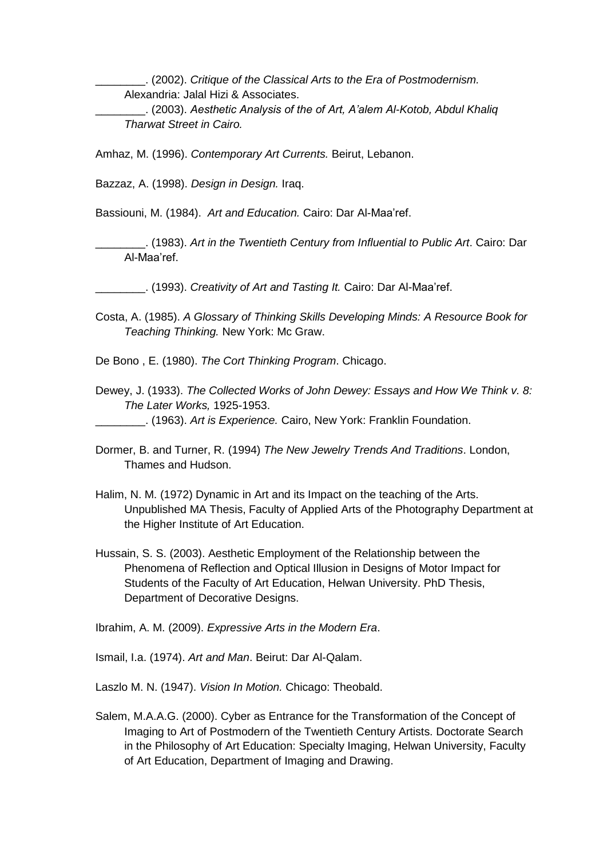\_\_\_\_\_\_\_\_. (2002). *Critique of the Classical Arts to the Era of Postmodernism.* Alexandria: Jalal Hizi & Associates.

\_\_\_\_\_\_\_\_. (2003). *Aesthetic Analysis of the of Art, A'alem Al-Kotob, Abdul Khaliq Tharwat Street in Cairo.*

Amhaz, M. (1996). *Contemporary Art Currents.* Beirut, Lebanon.

Bazzaz, A. (1998). *Design in Design.* Iraq.

Bassiouni, M. (1984). *Art and Education.* Cairo: Dar Al-Maa'ref.

\_\_\_\_\_\_\_\_. (1983). *Art in the Twentieth Century from Influential to Public Art*. Cairo: Dar Al-Maa'ref.

\_\_\_\_\_\_\_\_. (1993). *Creativity of Art and Tasting It.* Cairo: Dar Al-Maa'ref.

Costa, A. (1985). *A Glossary of Thinking Skills Developing Minds: A Resource Book for Teaching Thinking.* New York: Mc Graw.

De Bono , E. (1980). *The Cort Thinking Program*. Chicago.

- Dewey, J. (1933). *The Collected Works of John Dewey: Essays and How We Think v. 8: The Later Works,* 1925-1953. \_\_\_\_\_\_\_\_. (1963). *Art is Experience.* Cairo, New York: Franklin Foundation.
- Dormer, B. and Turner, R. (1994) *The New Jewelry Trends And Traditions*. London, Thames and Hudson.
- Halim, N. M. (1972) Dynamic in Art and its Impact on the teaching of the Arts. Unpublished MA Thesis, Faculty of Applied Arts of the Photography Department at the Higher Institute of Art Education.
- Hussain, S. S. (2003). Aesthetic Employment of the Relationship between the Phenomena of Reflection and Optical Illusion in Designs of Motor Impact for Students of the Faculty of Art Education, Helwan University. PhD Thesis, Department of Decorative Designs.

Ibrahim, A. M. (2009). *Expressive Arts in the Modern Era*.

Ismail, I.a. (1974). *Art and Man*. Beirut: Dar Al-Qalam.

Laszlo M. N. (1947). *Vision In Motion.* Chicago: Theobald.

Salem, M.A.A.G. (2000). Cyber as Entrance for the Transformation of the Concept of Imaging to Art of Postmodern of the Twentieth Century Artists. Doctorate Search in the Philosophy of Art Education: Specialty Imaging, Helwan University, Faculty of Art Education, Department of Imaging and Drawing.